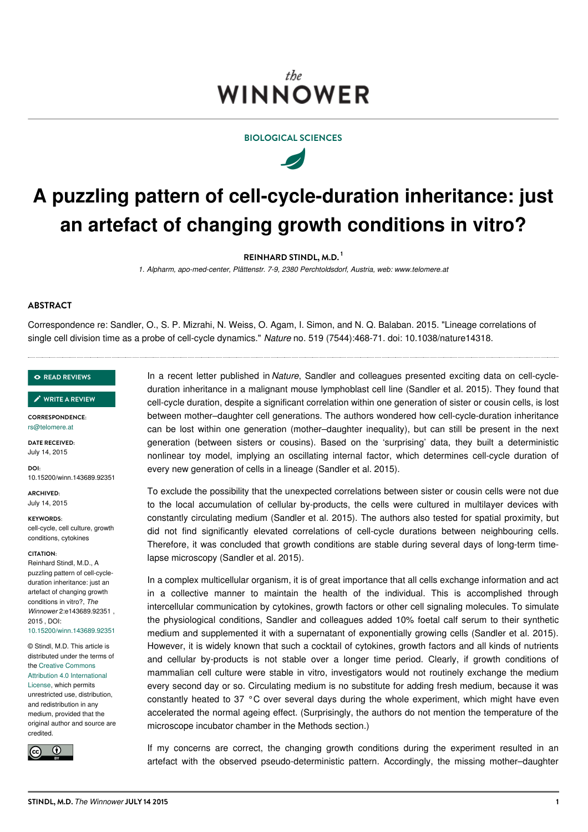# the WINNOWER



 $\overline{\mathscr{A}}$ 

# **A puzzling pattern of cell-cycle-duration inheritance: just an artefact of changing growth conditions in vitro?**

**REINHARD STINDL, M.D. 1**

*1. Alpharm, apo-med-center, Plättenstr. 7-9, 2380 Perchtoldsdorf, Austria, web: www.telomere.at*

# **ABSTRACT**

Correspondence re: Sandler, O., S. P. Mizrahi, N. Weiss, O. Agam, I. Simon, and N. Q. Balaban. 2015. "Lineage correlations of single cell division time as a probe of cell-cycle dynamics." *Nature* no. 519 (7544):468-71. doi: 10.1038/nature14318.

#### **READ [REVIEWS](https://thewinnower.com/papers/1483-a-puzzling-pattern-of-cell-cycle-duration-inheritance-just-an-artefact-of-changing-growth-conditions-in-vitro#submit)**

#### **WRITE A [REVIEW](https://thewinnower.com/papers/1483-a-puzzling-pattern-of-cell-cycle-duration-inheritance-just-an-artefact-of-changing-growth-conditions-in-vitro#submit)** ✎

**CORRESPONDENCE:** [rs@telomere.at](mailto:rs@telomere.at)

**DATE RECEIVED:** July 14, 2015

**DOI:** 10.15200/winn.143689.92351

**ARCHIVED:** July 14, 2015

**KEYWORDS:** cell-cycle, cell culture, growth conditions, cytokines

#### **CITATION:**

Reinhard Stindl, M.D., A puzzling pattern of cell-cycleduration inheritance: just an artefact of changing growth conditions in vitro?, *The Winnower* 2:e143689.92351 , 2015 , DOI: [10.15200/winn.143689.92351](https://dx.doi.org/10.15200/winn.143689.92351)

© Stindl, M.D. This article is distributed under the terms of the Creative Commons Attribution 4.0 [International](https://creativecommons.org/licenses/by/4.0/) License, which permits unrestricted use, distribution, and redistribution in any medium, provided that the original author and source are credited.



In a recent letter published in *Nature*, Sandler and colleagues presented exciting data on cell-cycleduration inheritance in a malignant mouse lymphoblast cell line (Sandler et al. 2015). They found that cell-cycle duration, despite a significant correlation within one generation of sister or cousin cells, is lost between mother–daughter cell generations. The authors wondered how cell-cycle-duration inheritance can be lost within one generation (mother–daughter inequality), but can still be present in the next generation (between sisters or cousins). Based on the 'surprising' data, they built a deterministic nonlinear toy model, implying an oscillating internal factor, which determines cell-cycle duration of every new generation of cells in a lineage (Sandler et al. 2015).

To exclude the possibility that the unexpected correlations between sister or cousin cells were not due to the local accumulation of cellular by-products, the cells were cultured in multilayer devices with constantly circulating medium (Sandler et al. 2015). The authors also tested for spatial proximity, but did not find significantly elevated correlations of cell-cycle durations between neighbouring cells. Therefore, it was concluded that growth conditions are stable during several days of long-term timelapse microscopy (Sandler et al. 2015).

In a complex multicellular organism, it is of great importance that all cells exchange information and act in a collective manner to maintain the health of the individual. This is accomplished through intercellular communication by cytokines, growth factors or other cell signaling molecules. To simulate the physiological conditions, Sandler and colleagues added 10% foetal calf serum to their synthetic medium and supplemented it with a supernatant of exponentially growing cells (Sandler et al. 2015). However, it is widely known that such a cocktail of cytokines, growth factors and all kinds of nutrients and cellular by-products is not stable over a longer time period. Clearly, if growth conditions of mammalian cell culture were stable in vitro, investigators would not routinely exchange the medium every second day or so. Circulating medium is no substitute for adding fresh medium, because it was constantly heated to 37 °C over several days during the whole experiment, which might have even accelerated the normal ageing effect. (Surprisingly, the authors do not mention the temperature of the microscope incubator chamber in the Methods section.)

If my concerns are correct, the changing growth conditions during the experiment resulted in an artefact with the observed pseudo-deterministic pattern. Accordingly, the missing mother–daughter